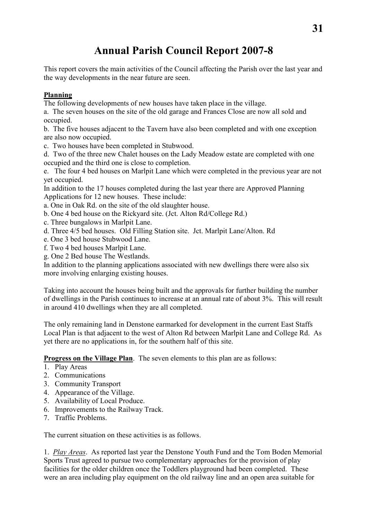## **Annual Parish Council Report 2007-8**

This report covers the main activities of the Council affecting the Parish over the last year and the way developments in the near future are seen.

## **Planning**

The following developments of new houses have taken place in the village.

a. The seven houses on the site of the old garage and Frances Close are now all sold and occupied.

b. The five houses adjacent to the Tavern have also been completed and with one exception are also now occupied.

c. Two houses have been completed in Stubwood.

d. Two of the three new Chalet houses on the Lady Meadow estate are completed with one occupied and the third one is close to completion.

e. The four 4 bed houses on Marlpit Lane which were completed in the previous year are not yet occupied.

In addition to the 17 houses completed during the last year there are Approved Planning Applications for 12 new houses. These include:

a. One in Oak Rd. on the site of the old slaughter house.

- b. One 4 bed house on the Rickyard site. (Jct. Alton Rd/College Rd.)
- c. Three bungalows in Marlpit Lane.
- d. Three 4/5 bed houses. Old Filling Station site. Jct. Marlpit Lane/Alton. Rd
- e. One 3 bed house Stubwood Lane.
- f. Two 4 bed houses Marlpit Lane.
- g. One 2 Bed house The Westlands.

In addition to the planning applications associated with new dwellings there were also six more involving enlarging existing houses.

Taking into account the houses being built and the approvals for further building the number of dwellings in the Parish continues to increase at an annual rate of about 3%. This will result in around 410 dwellings when they are all completed.

The only remaining land in Denstone earmarked for development in the current East Staffs Local Plan is that adjacent to the west of Alton Rd between Marlpit Lane and College Rd. As yet there are no applications in, for the southern half of this site.

**Progress on the Village Plan**. The seven elements to this plan are as follows:

- 1. Play Areas
- 2. Communications
- 3. Community Transport
- 4. Appearance of the Village.
- 5. Availability of Local Produce.
- 6. Improvements to the Railway Track.
- 7. Traffic Problems.

The current situation on these activities is as follows.

1. *Play Areas*. As reported last year the Denstone Youth Fund and the Tom Boden Memorial Sports Trust agreed to pursue two complementary approaches for the provision of play facilities for the older children once the Toddlers playground had been completed. These were an area including play equipment on the old railway line and an open area suitable for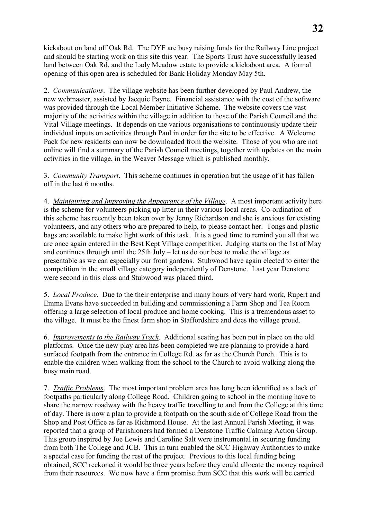kickabout on land off Oak Rd. The DYF are busy raising funds for the Railway Line project and should be starting work on this site this year. The Sports Trust have successfully leased land between Oak Rd. and the Lady Meadow estate to provide a kickabout area. A formal opening of this open area is scheduled for Bank Holiday Monday May 5th.

2. *Communications*. The village website has been further developed by Paul Andrew, the new webmaster, assisted by Jacquie Payne. Financial assistance with the cost of the software was provided through the Local Member Initiative Scheme. The website covers the vast majority of the activities within the village in addition to those of the Parish Council and the Vital Village meetings. It depends on the various organisations to continuously update their individual inputs on activities through Paul in order for the site to be effective. A Welcome Pack for new residents can now be downloaded from the website. Those of you who are not online will find a summary of the Parish Council meetings, together with updates on the main activities in the village, in the Weaver Message which is published monthly.

3. *Community Transport*. This scheme continues in operation but the usage of it has fallen off in the last 6 months.

4. *Maintaining and Improving the Appearance of the Village*. A most important activity here is the scheme for volunteers picking up litter in their various local areas. Co-ordination of this scheme has recently been taken over by Jenny Richardson and she is anxious for existing volunteers, and any others who are prepared to help, to please contact her. Tongs and plastic bags are available to make light work of this task. It is a good time to remind you all that we are once again entered in the Best Kept Village competition. Judging starts on the 1st of May and continues through until the 25th July – let us do our best to make the village as presentable as we can especially our front gardens. Stubwood have again elected to enter the competition in the small village category independently of Denstone. Last year Denstone were second in this class and Stubwood was placed third.

5. *Local Produce*. Due to the their enterprise and many hours of very hard work, Rupert and Emma Evans have succeeded in building and commissioning a Farm Shop and Tea Room offering a large selection of local produce and home cooking. This is a tremendous asset to the village. It must be the finest farm shop in Staffordshire and does the village proud.

6. *Improvements to the Railway Track*. Additional seating has been put in place on the old platforms. Once the new play area has been completed we are planning to provide a hard surfaced footpath from the entrance in College Rd. as far as the Church Porch. This is to enable the children when walking from the school to the Church to avoid walking along the busy main road.

7. *Traffic Problems*. The most important problem area has long been identified as a lack of footpaths particularly along College Road. Children going to school in the morning have to share the narrow roadway with the heavy traffic travelling to and from the College at this time of day. There is now a plan to provide a footpath on the south side of College Road from the Shop and Post Office as far as Richmond House. At the last Annual Parish Meeting, it was reported that a group of Parishioners had formed a Denstone Traffic Calming Action Group. This group inspired by Joe Lewis and Caroline Salt were instrumental in securing funding from both The College and JCB. This in turn enabled the SCC Highway Authorities to make a special case for funding the rest of the project. Previous to this local funding being obtained, SCC reckoned it would be three years before they could allocate the money required from their resources. We now have a firm promise from SCC that this work will be carried